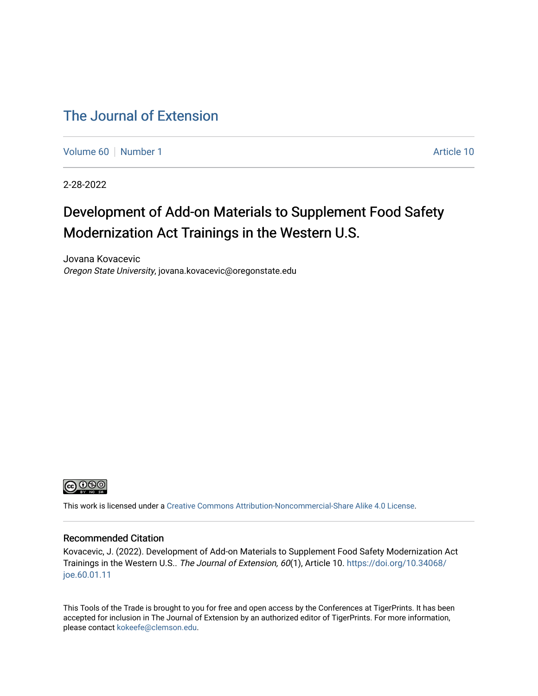## [The Journal of Extension](https://tigerprints.clemson.edu/joe)

[Volume 60](https://tigerprints.clemson.edu/joe/vol60) [Number 1](https://tigerprints.clemson.edu/joe/vol60/iss1) Article 10

2-28-2022

# Development of Add-on Materials to Supplement Food Safety Modernization Act Trainings in the Western U.S.

Jovana Kovacevic Oregon State University, jovana.kovacevic@oregonstate.edu



This work is licensed under a [Creative Commons Attribution-Noncommercial-Share Alike 4.0 License.](https://creativecommons.org/licenses/by-nc-sa/4.0/)

### Recommended Citation

Kovacevic, J. (2022). Development of Add-on Materials to Supplement Food Safety Modernization Act Trainings in the Western U.S.. The Journal of Extension, 60(1), Article 10. [https://doi.org/10.34068/](https://doi.org/10.34068/joe.60.01.11) [joe.60.01.11](https://doi.org/10.34068/joe.60.01.11) 

This Tools of the Trade is brought to you for free and open access by the Conferences at TigerPrints. It has been accepted for inclusion in The Journal of Extension by an authorized editor of TigerPrints. For more information, please contact [kokeefe@clemson.edu](mailto:kokeefe@clemson.edu).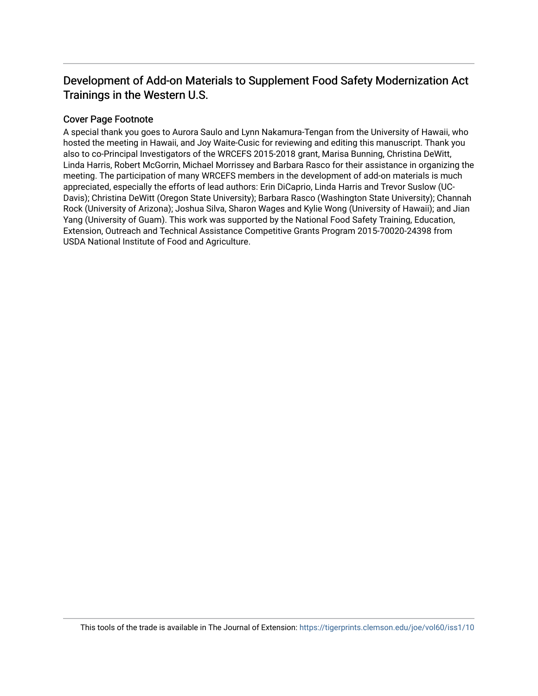## Development of Add-on Materials to Supplement Food Safety Modernization Act Trainings in the Western U.S.

## Cover Page Footnote

A special thank you goes to Aurora Saulo and Lynn Nakamura-Tengan from the University of Hawaii, who hosted the meeting in Hawaii, and Joy Waite-Cusic for reviewing and editing this manuscript. Thank you also to co-Principal Investigators of the WRCEFS 2015-2018 grant, Marisa Bunning, Christina DeWitt, Linda Harris, Robert McGorrin, Michael Morrissey and Barbara Rasco for their assistance in organizing the meeting. The participation of many WRCEFS members in the development of add-on materials is much appreciated, especially the efforts of lead authors: Erin DiCaprio, Linda Harris and Trevor Suslow (UC-Davis); Christina DeWitt (Oregon State University); Barbara Rasco (Washington State University); Channah Rock (University of Arizona); Joshua Silva, Sharon Wages and Kylie Wong (University of Hawaii); and Jian Yang (University of Guam). This work was supported by the National Food Safety Training, Education, Extension, Outreach and Technical Assistance Competitive Grants Program 2015-70020-24398 from USDA National Institute of Food and Agriculture.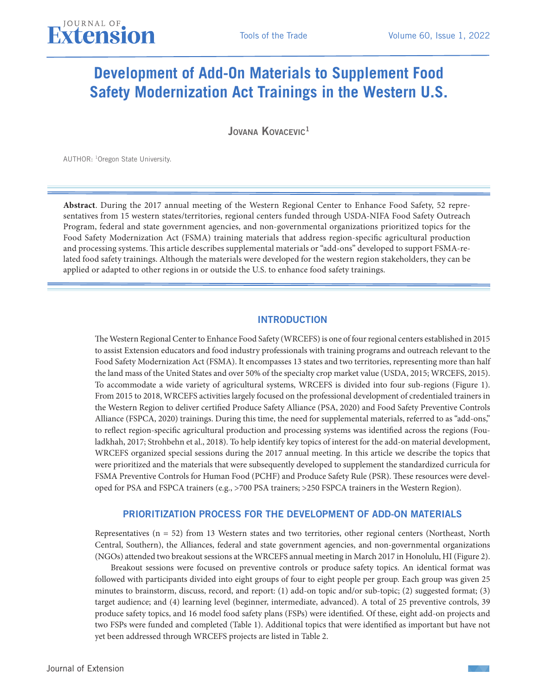# **Development of Add-On Materials to Supplement Food Safety Modernization Act Trainings in the Western U.S.**

JOVANA KOVACEVIC<sup>1</sup>

AUTHOR: 1Oregon State University.

**Abstract**. During the 2017 annual meeting of the Western Regional Center to Enhance Food Safety, 52 representatives from 15 western states/territories, regional centers funded through USDA-NIFA Food Safety Outreach Program, federal and state government agencies, and non-governmental organizations prioritized topics for the Food Safety Modernization Act (FSMA) training materials that address region-specific agricultural production and processing systems. This article describes supplemental materials or "add-ons" developed to support FSMA-related food safety trainings. Although the materials were developed for the western region stakeholders, they can be applied or adapted to other regions in or outside the U.S. to enhance food safety trainings.

#### INTRODUCTION

The Western Regional Center to Enhance Food Safety (WRCEFS) is one of four regional centers established in 2015 to assist Extension educators and food industry professionals with training programs and outreach relevant to the Food Safety Modernization Act (FSMA). It encompasses 13 states and two territories, representing more than half the land mass of the United States and over 50% of the specialty crop market value (USDA, 2015; WRCEFS, 2015). To accommodate a wide variety of agricultural systems, WRCEFS is divided into four sub-regions (Figure 1). From 2015 to 2018, WRCEFS activities largely focused on the professional development of credentialed trainers in the Western Region to deliver certified Produce Safety Alliance (PSA, 2020) and Food Safety Preventive Controls Alliance (FSPCA, 2020) trainings. During this time, the need for supplemental materials, referred to as "add-ons," to reflect region-specific agricultural production and processing systems was identified across the regions (Fouladkhah, 2017; Strohbehn et al., 2018). To help identify key topics of interest for the add-on material development, WRCEFS organized special sessions during the 2017 annual meeting. In this article we describe the topics that were prioritized and the materials that were subsequently developed to supplement the standardized curricula for FSMA Preventive Controls for Human Food (PCHF) and Produce Safety Rule (PSR). These resources were developed for PSA and FSPCA trainers (e.g., >700 PSA trainers; >250 FSPCA trainers in the Western Region).

#### PRIORITIZATION PROCESS FOR THE DEVELOPMENT OF ADD-ON MATERIALS

Representatives (n = 52) from 13 Western states and two territories, other regional centers (Northeast, North Central, Southern), the Alliances, federal and state government agencies, and non-governmental organizations (NGOs) attended two breakout sessions at the WRCEFS annual meeting in March 2017 in Honolulu, HI (Figure 2).

Breakout sessions were focused on preventive controls or produce safety topics. An identical format was followed with participants divided into eight groups of four to eight people per group. Each group was given 25 minutes to brainstorm, discuss, record, and report: (1) add-on topic and/or sub-topic; (2) suggested format; (3) target audience; and (4) learning level (beginner, intermediate, advanced). A total of 25 preventive controls, 39 produce safety topics, and 16 model food safety plans (FSPs) were identified. Of these, eight add-on projects and two FSPs were funded and completed (Table 1). Additional topics that were identified as important but have not yet been addressed through WRCEFS projects are listed in Table 2.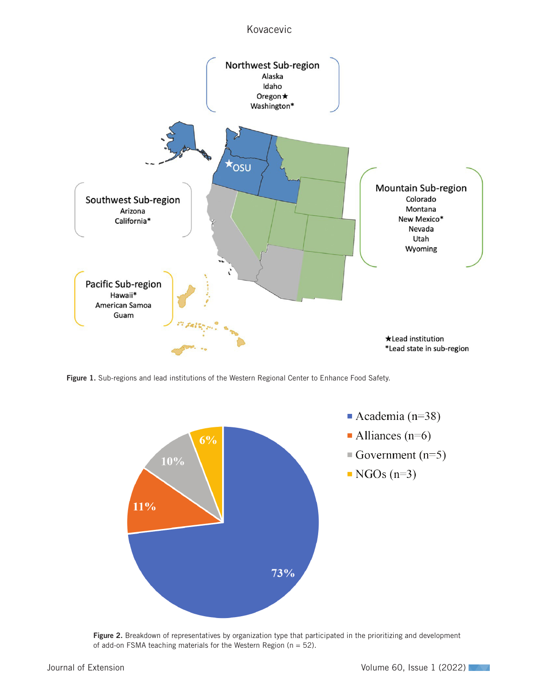## Kovacevic



Figure 1. Sub-regions and lead institutions of the Western Regional Center to Enhance Food Safety.



Figure 2. Breakdown of representatives by organization type that participated in the prioritizing and development of add-on FSMA teaching materials for the Western Region ( $n = 52$ ).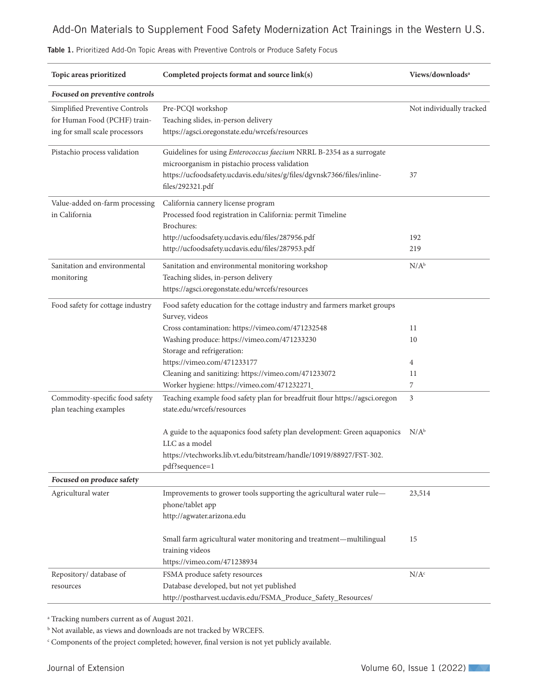| Topic areas prioritized                                                                          | Completed projects format and source link(s)                                                                                                                                                                         | Views/downloads <sup>a</sup> |
|--------------------------------------------------------------------------------------------------|----------------------------------------------------------------------------------------------------------------------------------------------------------------------------------------------------------------------|------------------------------|
| Focused on preventive controls                                                                   |                                                                                                                                                                                                                      |                              |
| Simplified Preventive Controls<br>for Human Food (PCHF) train-<br>ing for small scale processors | Pre-PCQI workshop<br>Teaching slides, in-person delivery<br>https://agsci.oregonstate.edu/wrcefs/resources                                                                                                           | Not individually tracked     |
| Pistachio process validation                                                                     | Guidelines for using Enterococcus faecium NRRL B-2354 as a surrogate<br>microorganism in pistachio process validation<br>https://ucfoodsafety.ucdavis.edu/sites/g/files/dgvnsk7366/files/inline-<br>files/292321.pdf | 37                           |
| Value-added on-farm processing<br>in California                                                  | California cannery license program<br>Processed food registration in California: permit Timeline<br>Brochures:<br>http://ucfoodsafety.ucdavis.edu/files/287956.pdf                                                   | 192                          |
|                                                                                                  | http://ucfoodsafety.ucdavis.edu/files/287953.pdf                                                                                                                                                                     | 219                          |
| Sanitation and environmental<br>monitoring                                                       | Sanitation and environmental monitoring workshop<br>Teaching slides, in-person delivery<br>https://agsci.oregonstate.edu/wrcefs/resources                                                                            | $N/A^b$                      |
| Food safety for cottage industry                                                                 | Food safety education for the cottage industry and farmers market groups<br>Survey, videos<br>Cross contamination: https://vimeo.com/471232548                                                                       | 11                           |
|                                                                                                  | Washing produce: https://vimeo.com/471233230<br>Storage and refrigeration:                                                                                                                                           | 10                           |
|                                                                                                  | https://vimeo.com/471233177<br>Cleaning and sanitizing: https://vimeo.com/471233072                                                                                                                                  | 4<br>11                      |
|                                                                                                  | Worker hygiene: https://vimeo.com/471232271                                                                                                                                                                          | 7                            |
| Commodity-specific food safety<br>plan teaching examples                                         | Teaching example food safety plan for breadfruit flour https://agsci.oregon<br>state.edu/wrcefs/resources                                                                                                            | 3                            |
|                                                                                                  | A guide to the aquaponics food safety plan development: Green aquaponics<br>LLC as a model<br>https://vtechworks.lib.vt.edu/bitstream/handle/10919/88927/FST-302.<br>pdf?sequence=1                                  | $N/A^b$                      |
| Focused on produce safety                                                                        |                                                                                                                                                                                                                      |                              |
| Agricultural water                                                                               | Improvements to grower tools supporting the agricultural water rule-<br>phone/tablet app<br>http://agwater.arizona.edu                                                                                               | 23,514                       |
|                                                                                                  | Small farm agricultural water monitoring and treatment-multilingual<br>training videos<br>https://vimeo.com/471238934                                                                                                | 15                           |
| Repository/ database of<br>resources                                                             | FSMA produce safety resources<br>Database developed, but not yet published<br>http://postharvest.ucdavis.edu/FSMA_Produce_Safety_Resources/                                                                          | N/A <sup>c</sup>             |

Table 1. Prioritized Add-On Topic Areas with Preventive Controls or Produce Safety Focus

a Tracking numbers current as of August 2021.

 $^{\rm b}$  Not available, as views and downloads are not tracked by WRCEFS.

c Components of the project completed; however, final version is not yet publicly available.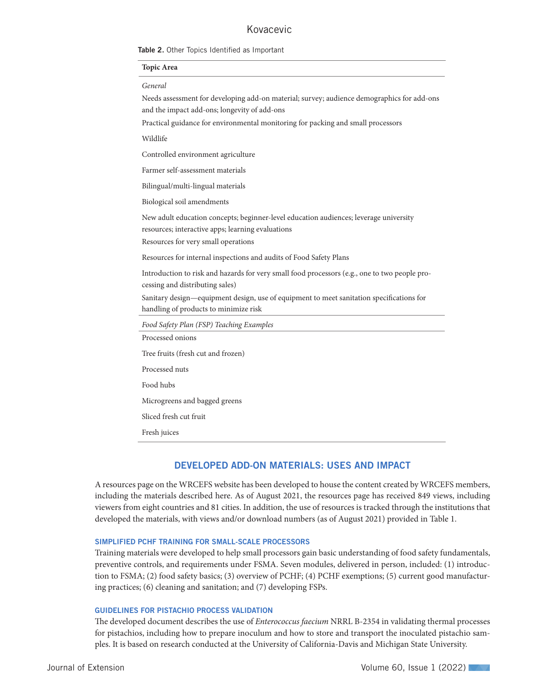### Kovacevic

Table 2. Other Topics Identified as Important

#### **Topic Area**

#### *General*

Needs assessment for developing add-on material; survey; audience demographics for add-ons and the impact add-ons; longevity of add-ons

Practical guidance for environmental monitoring for packing and small processors

Wildlife

Controlled environment agriculture

Farmer self-assessment materials

Bilingual/multi-lingual materials

Biological soil amendments

New adult education concepts; beginner-level education audiences; leverage university resources; interactive apps; learning evaluations

Resources for very small operations

Resources for internal inspections and audits of Food Safety Plans

Introduction to risk and hazards for very small food processors (e.g., one to two people processing and distributing sales)

Sanitary design—equipment design, use of equipment to meet sanitation specifications for handling of products to minimize risk

| Food Safety Plan (FSP) Teaching Examples |
|------------------------------------------|
| Processed onions                         |
| Tree fruits (fresh cut and frozen)       |
| Processed nuts                           |
| Food hubs                                |
| Microgreens and bagged greens            |
| Sliced fresh cut fruit                   |
| Fresh juices                             |
|                                          |

#### DEVELOPED ADD-ON MATERIALS: USES AND IMPACT

A resources page on the WRCEFS website has been developed to house the content created by WRCEFS members, including the materials described here. As of August 2021, the resources page has received 849 views, including viewers from eight countries and 81 cities. In addition, the use of resources is tracked through the institutions that developed the materials, with views and/or download numbers (as of August 2021) provided in Table 1.

#### SIMPLIFIED PCHF TRAINING FOR SMALL-SCALE PROCESSORS

Training materials were developed to help small processors gain basic understanding of food safety fundamentals, preventive controls, and requirements under FSMA. Seven modules, delivered in person, included: (1) introduction to FSMA; (2) food safety basics; (3) overview of PCHF; (4) PCHF exemptions; (5) current good manufacturing practices; (6) cleaning and sanitation; and (7) developing FSPs.

#### GUIDELINES FOR PISTACHIO PROCESS VALIDATION

The developed document describes the use of *Enterococcus faecium* NRRL B-2354 in validating thermal processes for pistachios, including how to prepare inoculum and how to store and transport the inoculated pistachio samples. It is based on research conducted at the University of California-Davis and Michigan State University.